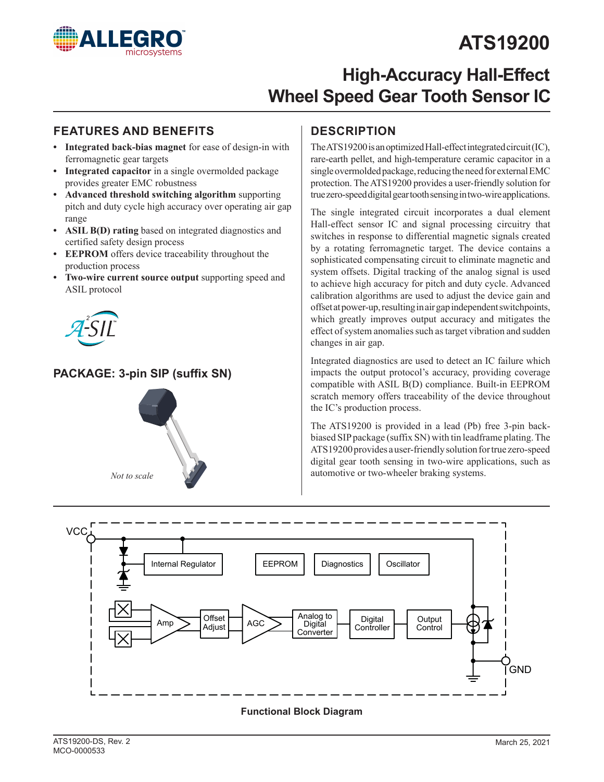

# **ATS19200**

# **High-Accuracy Hall-Effect Wheel Speed Gear Tooth Sensor IC**

### **FEATURES AND BENEFITS DESCRIPTION**

- **• Integrated back-bias magnet** for ease of design-in with ferromagnetic gear targets
- **• Integrated capacitor** in a single overmolded package provides greater EMC robustness
- **• Advanced threshold switching algorithm** supporting pitch and duty cycle high accuracy over operating air gap range
- **• ASIL B(D) rating** based on integrated diagnostics and certified safety design process
- **• EEPROM** offers device traceability throughout the production process
- **• Two-wire current source output** supporting speed and ASIL protocol



### **PACKAGE: 3-pin SIP (suffix SN)**



The ATS19200 is an optimized Hall-effect integrated circuit (IC), rare-earth pellet, and high-temperature ceramic capacitor in a single overmolded package, reducing the need for external EMC protection. The ATS19200 provides a user-friendly solution for true zero-speed digital gear tooth sensing in two-wire applications.

The single integrated circuit incorporates a dual element Hall-effect sensor IC and signal processing circuitry that switches in response to differential magnetic signals created by a rotating ferromagnetic target. The device contains a sophisticated compensating circuit to eliminate magnetic and system offsets. Digital tracking of the analog signal is used to achieve high accuracy for pitch and duty cycle. Advanced calibration algorithms are used to adjust the device gain and offset at power-up, resulting in air gap independent switchpoints, which greatly improves output accuracy and mitigates the effect of system anomalies such as target vibration and sudden changes in air gap.

Integrated diagnostics are used to detect an IC failure which impacts the output protocol's accuracy, providing coverage compatible with ASIL B(D) compliance. Built-in EEPROM scratch memory offers traceability of the device throughout the IC's production process.

The ATS19200 is provided in a lead (Pb) free 3-pin backbiased SIP package (suffix SN) with tin leadframe plating. The ATS19200 provides a user-friendly solution for true zero-speed digital gear tooth sensing in two-wire applications, such as automotive or two-wheeler braking systems.



### **Functional Block Diagram**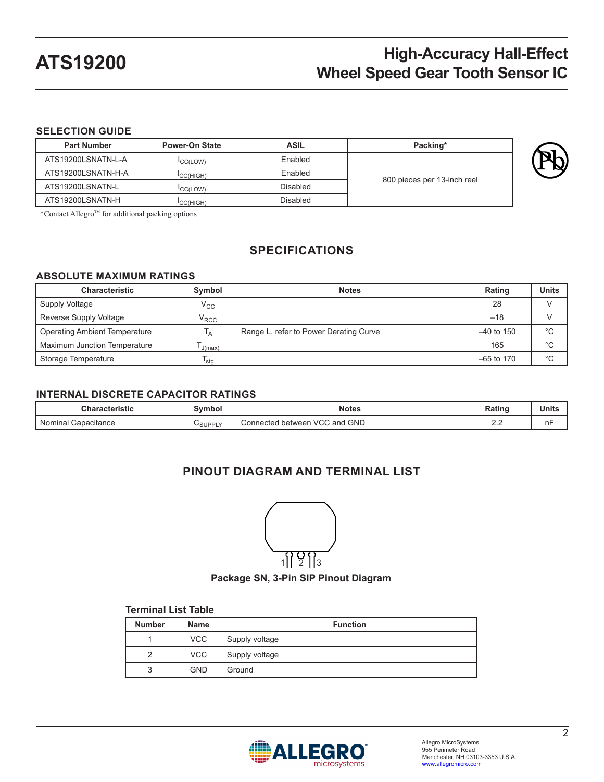### **SELECTION GUIDE**

| <b>Part Number</b> | <b>Power-On State</b> | <b>ASIL</b> | Packing*                    |
|--------------------|-----------------------|-------------|-----------------------------|
| ATS19200LSNATN-L-A | <b>CC(LOW)</b>        | Enabled     |                             |
| ATS19200LSNATN-H-A | <sup>I</sup> CC(HIGH) | Enabled     |                             |
| ATS19200LSNATN-L   | <b>CC(LOW)</b>        | Disabled    | 800 pieces per 13-inch reel |
| ATS19200LSNATN-H   | <sup>I</sup> CC(HIGH) | Disabled    |                             |

\*Contact Allegro™ for additional packing options

## **SPECIFICATIONS**

### **ABSOLUTE MAXIMUM RATINGS**

| <b>Characteristic</b>                | Symbol            | <b>Notes</b>                           | Rating       | <b>Units</b> |
|--------------------------------------|-------------------|----------------------------------------|--------------|--------------|
| Supply Voltage                       | $V_{\rm CC}$      |                                        | 28           |              |
| Reverse Supply Voltage               | $\rm V_{\rm RCC}$ |                                        | $-18$        |              |
| <b>Operating Ambient Temperature</b> | ١д                | Range L, refer to Power Derating Curve | $-40$ to 150 | °C           |
| <b>Maximum Junction Temperature</b>  | J(max)            |                                        | 165          | $^{\circ}C$  |
| Storage Temperature                  | <sup>I</sup> stg  |                                        | $-65$ to 170 | $^{\circ}C$  |

### **INTERNAL DISCRETE CAPACITOR RATINGS**

| <b>Characteristic</b>  | Svmbol  | <b>Notes</b>                                                | Rating                    | <b>Units</b>                   |
|------------------------|---------|-------------------------------------------------------------|---------------------------|--------------------------------|
| Nominal<br>Capacitance | USUPPLY | <b>GND</b><br><b>VCC</b><br>, and<br>Connected<br>d between | $\sim$<br>$\sim$ . $\sim$ | $\overline{\phantom{a}}$<br>nŀ |

### **PINOUT DIAGRAM AND TERMINAL LIST**



**Package SN, 3-Pin SIP Pinout Diagram**

#### **Terminal List Table**

| <b>Number</b> | <b>Name</b> | <b>Function</b> |
|---------------|-------------|-----------------|
|               | <b>VCC</b>  | Supply voltage  |
| っ             | <b>VCC</b>  | Supply voltage  |
| 2             | <b>GND</b>  | Ground          |

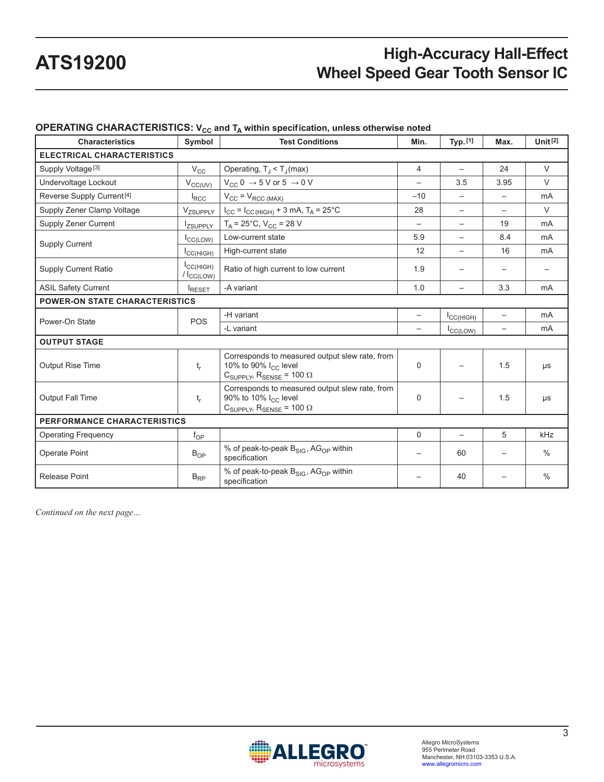| <b>Characteristics</b>                | Symbol                             | <b>Test Conditions</b>                                                                                                                         | Min.                     | Typ. [1]                 | Max. | Unit $[2]$    |
|---------------------------------------|------------------------------------|------------------------------------------------------------------------------------------------------------------------------------------------|--------------------------|--------------------------|------|---------------|
| <b>ELECTRICAL CHARACTERISTICS</b>     |                                    |                                                                                                                                                |                          |                          |      |               |
| Supply Voltage <sup>[3]</sup>         | $V_{\rm CC}$                       | Operating, $T_J < T_J$ (max)                                                                                                                   | 4                        |                          | 24   | $\vee$        |
| Undervoltage Lockout                  | $V_{CC(UV)}$                       | $V_{CC}$ 0 $\rightarrow$ 5 V or 5 $\rightarrow$ 0 V                                                                                            |                          | 3.5                      | 3.95 | $\vee$        |
| Reverse Supply Current <sup>[4]</sup> | $I_{\text{RCC}}$                   | $V_{CC} = V_{RCC (MAX)}$                                                                                                                       | $-10$                    |                          |      | mA            |
| Supply Zener Clamp Voltage            | Vzsupply                           | $I_{CC} = I_{CC(HIGH)} + 3 mA$ , $T_A = 25^{\circ}C$                                                                                           | 28                       |                          |      | $\vee$        |
| Supply Zener Current                  | <b>IZSUPPLY</b>                    | $T_A = 25^{\circ}$ C, V <sub>CC</sub> = 28 V                                                                                                   | $\overline{\phantom{0}}$ |                          | 19   | mA            |
| <b>Supply Current</b>                 | I <sub>CC(LOW)</sub>               | Low-current state                                                                                                                              | 5.9                      | $\overline{\phantom{0}}$ | 8.4  | mA            |
|                                       | ICCHIGH)                           | High-current state                                                                                                                             | 12                       | $\overline{\phantom{0}}$ | 16   | mA            |
| <b>Supply Current Ratio</b>           | ICCHIGH)<br>$/ I_{\text{CC(LOW)}}$ | Ratio of high current to low current                                                                                                           | 1.9                      |                          |      |               |
| <b>ASIL Safety Current</b>            | <b>I</b> RESET                     | -A variant                                                                                                                                     | 1.0                      | $\overline{\phantom{0}}$ | 3.3  | mA            |
| <b>POWER-ON STATE CHARACTERISTICS</b> |                                    |                                                                                                                                                |                          |                          |      |               |
| Power-On State                        | <b>POS</b>                         | -H variant                                                                                                                                     | $\overline{\phantom{0}}$ | $I_{\text{CC(HIGH)}}$    |      | mA            |
|                                       |                                    | -L variant                                                                                                                                     |                          | $I_{\text{CC(LOW)}}$     |      | mA            |
| <b>OUTPUT STAGE</b>                   |                                    |                                                                                                                                                |                          |                          |      |               |
| <b>Output Rise Time</b>               | $t_{r}$                            | Corresponds to measured output slew rate, from<br>10% to 90% I <sub>CC</sub> level<br>$C_{\text{SUPPI Y}}$ , $R_{\text{SENSE}}$ = 100 $\Omega$ | $\Omega$                 |                          | 1.5  | $\mu s$       |
| Output Fall Time                      | $t_{r}$                            | Corresponds to measured output slew rate, from<br>90% to 10% I <sub>CC</sub> level<br>$C_{\text{SUPPLY}}$ , R <sub>SENSE</sub> = 100 $\Omega$  |                          |                          | 1.5  | μs            |
| PERFORMANCE CHARACTERISTICS           |                                    |                                                                                                                                                |                          |                          |      |               |
| <b>Operating Frequency</b>            | $f_{OP}$                           |                                                                                                                                                | $\Omega$                 | $\overline{\phantom{0}}$ | 5    | kHz           |
| Operate Point                         | $B_{OP}$                           | % of peak-to-peak B <sub>SIG</sub> , AG <sub>OP</sub> within<br>$\overline{\phantom{m}}$<br>specification                                      |                          | 60                       |      | $\frac{0}{0}$ |
| <b>Release Point</b>                  | $B_{RP}$                           | % of peak-to-peak $B_{SIG}$ , AG <sub>OP</sub> within<br>specification                                                                         |                          | 40                       |      | $\frac{0}{0}$ |

### **OPERATING CHARACTERISTICS:** V<sub>CC</sub> and T<sub>A</sub> within specification, unless otherwise noted

*Continued on the next page…*

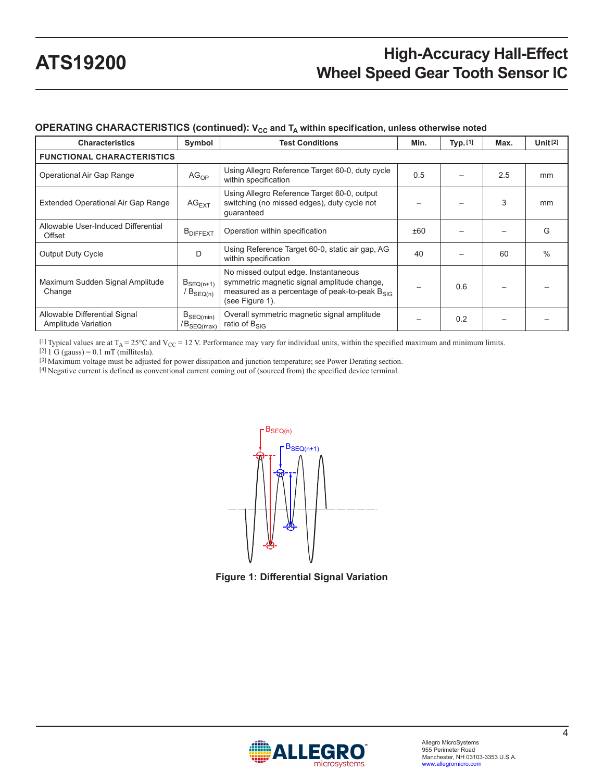### **OPERATING CHARACTERISTICS (continued): V<sub>CC</sub> and T<sub>A</sub> within specification, unless otherwise noted**

| <b>Characteristics</b>                                      | Symbol                            | <b>Test Conditions</b>                                                                                                                                       | Min. | Typ. [1] | Max. | Unit $[2]$    |
|-------------------------------------------------------------|-----------------------------------|--------------------------------------------------------------------------------------------------------------------------------------------------------------|------|----------|------|---------------|
| <b>FUNCTIONAL CHARACTERISTICS</b>                           |                                   |                                                                                                                                                              |      |          |      |               |
| Operational Air Gap Range                                   | AG <sub>OP</sub>                  | Using Allegro Reference Target 60-0, duty cycle<br>within specification                                                                                      | 0.5  |          | 2.5  | mm            |
| <b>Extended Operational Air Gap Range</b>                   | $AG$ <sub>EXT</sub>               | Using Allegro Reference Target 60-0, output<br>switching (no missed edges), duty cycle not<br>quaranteed                                                     |      |          | 3    | mm            |
| Allowable User-Induced Differential<br>Offset               | <b>B</b> <sub>DIFFEXT</sub>       | Operation within specification                                                                                                                               | ±60  |          |      | G             |
| <b>Output Duty Cycle</b>                                    | D                                 | Using Reference Target 60-0, static air gap, AG<br>within specification                                                                                      | 40   |          | 60   | $\frac{0}{0}$ |
| Maximum Sudden Signal Amplitude<br>Change                   | $B_{SEQ(n+1)}$<br>$B_{SEQ(n)}$    | No missed output edge. Instantaneous<br>symmetric magnetic signal amplitude change,<br>measured as a percentage of peak-to-peak $B_{SIG}$<br>(see Figure 1). |      | 0.6      |      |               |
| Allowable Differential Signal<br><b>Amplitude Variation</b> | $B_{SEQ(min)}$<br>$/B_{SEQ(max)}$ | Overall symmetric magnetic signal amplitude<br>ratio of $B_{SIG}$                                                                                            |      | 0.2      |      |               |

[1] Typical values are at  $T_A = 25^{\circ}\text{C}$  and  $V_{CC} = 12$  V. Performance may vary for individual units, within the specified maximum and minimum limits.

 $[2]$  1 G (gauss) = 0.1 mT (millitesla).

[3] Maximum voltage must be adjusted for power dissipation and junction temperature; see Power Derating section.

[4] Negative current is defined as conventional current coming out of (sourced from) the specified device terminal.



<span id="page-3-0"></span>**Figure 1: Differential Signal Variation**

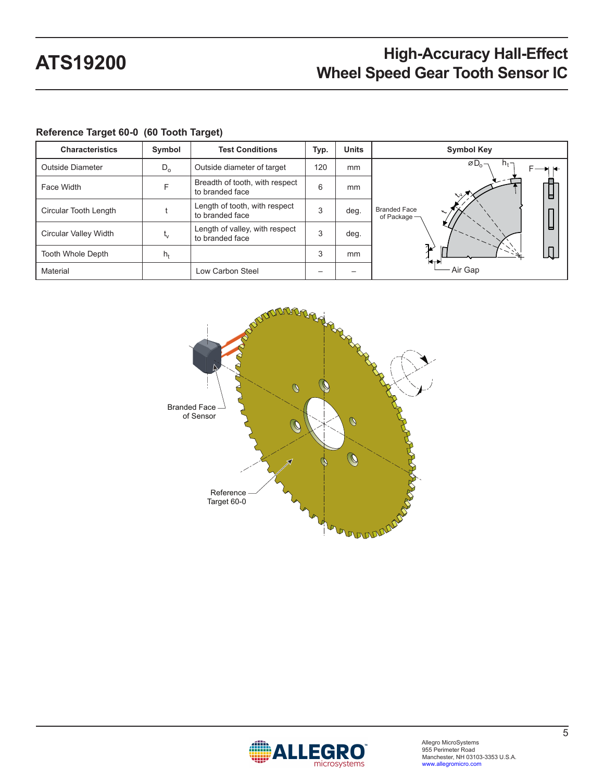| <b>Characteristics</b>       | Symbol  | <b>Test Conditions</b>                            | Typ. | <b>Units</b> | <b>Symbol Key</b>                         |
|------------------------------|---------|---------------------------------------------------|------|--------------|-------------------------------------------|
| Outside Diameter             | $D_{o}$ | Outside diameter of target                        | 120  | mm           | $\varnothing$ D <sub>0</sub> –<br>$n_{t}$ |
| Face Width                   | F       | Breadth of tooth, with respect<br>to branded face | 6    | mm           | ᆸ<br>$\sim$                               |
| Circular Tooth Length        |         | Length of tooth, with respect<br>to branded face  | 3    | deg.         | <b>Branded Face</b><br>of Package -       |
| <b>Circular Valley Width</b> | $L_V$   | Length of valley, with respect<br>to branded face | 3    | deg.         | н                                         |
| Tooth Whole Depth            | $h_t$   |                                                   | 3    | mm           | า∡่<br>$\blacksquare$                     |
| Material                     |         | Low Carbon Steel                                  |      |              | Air Gap                                   |

### **Reference Target 60-0 (60 Tooth Target)**



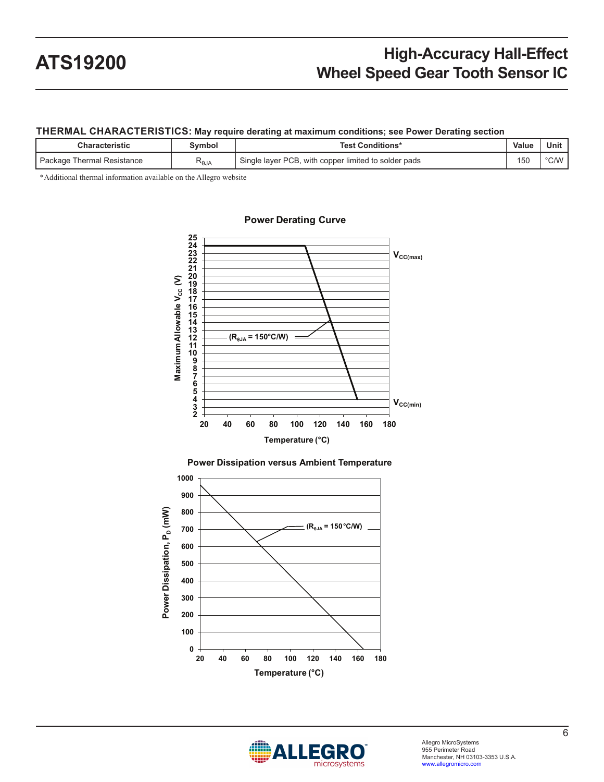### **THERMAL CHARACTERISTICS: May require derating at maximum conditions; see Power Derating section**

| <b>Characteristic</b>        | Svmbol | <b>Test Conditions*</b>                              | Value | Unit |
|------------------------------|--------|------------------------------------------------------|-------|------|
| ' Package Thermal Resistance | ∾өјд   | Single layer PCB, with copper limited to solder pads | 150   | °C/W |

\*Additional thermal information available on the Allegro website







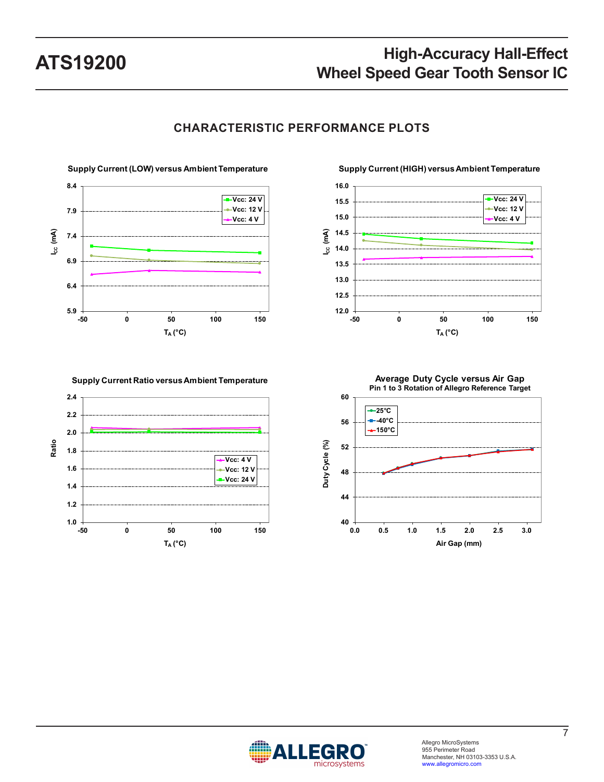

### **CHARACTERISTIC PERFORMANCE PLOTS**

**12.0 12.5 13.0 13.5 14.0 14.5 15.0 15.5 16.0 -50 0 50 100 150 ICC (mA) TA (°C) Vcc: 24 V Vcc: 12 V Vcc: 4 V**

#### **Supply Current (HIGH) versus Ambient Temperature**







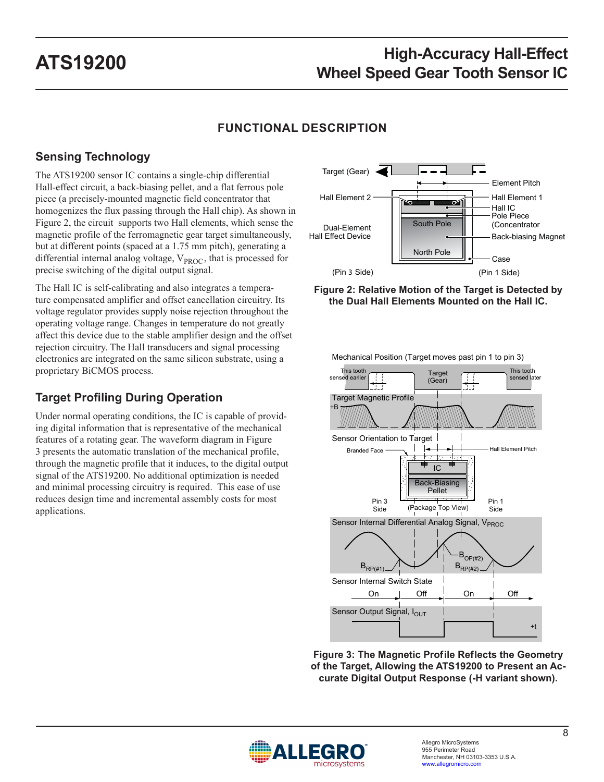## **FUNCTIONAL DESCRIPTION**

## **Sensing Technology**

The ATS19200 sensor IC contains a single-chip differential Hall-effect circuit, a back-biasing pellet, and a flat ferrous pole piece (a precisely-mounted magnetic field concentrator that homogenizes the flux passing through the Hall chip). As shown in [Figure 2,](#page-7-0) the circuit supports two Hall elements, which sense the magnetic profile of the ferromagnetic gear target simultaneously, but at different points (spaced at a 1.75 mm pitch), generating a differential internal analog voltage,  $V_{\text{PROC}}$ , that is processed for precise switching of the digital output signal.

The Hall IC is self-calibrating and also integrates a temperature compensated amplifier and offset cancellation circuitry. Its voltage regulator provides supply noise rejection throughout the operating voltage range. Changes in temperature do not greatly affect this device due to the stable amplifier design and the offset rejection circuitry. The Hall transducers and signal processing electronics are integrated on the same silicon substrate, using a proprietary BiCMOS process.

## **Target Profiling During Operation**

Under normal operating conditions, the IC is capable of providing digital information that is representative of the mechanical features of a rotating gear. The waveform diagram in [Figure](#page-7-1)  [3](#page-7-1) presents the automatic translation of the mechanical profile, through the magnetic profile that it induces, to the digital output signal of the ATS19200. No additional optimization is needed and minimal processing circuitry is required. This ease of use reduces design time and incremental assembly costs for most applications.



<span id="page-7-0"></span>**Figure 2: Relative Motion of the Target is Detected by the Dual Hall Elements Mounted on the Hall IC.**



<span id="page-7-1"></span>**Figure 3: The Magnetic Prof ile Ref lects the Geometry of the Target, Allowing the ATS19200 to Present an Accurate Digital Output Response (-H variant shown).**



Mechanical Position (Target moves past pin 1 to pin 3)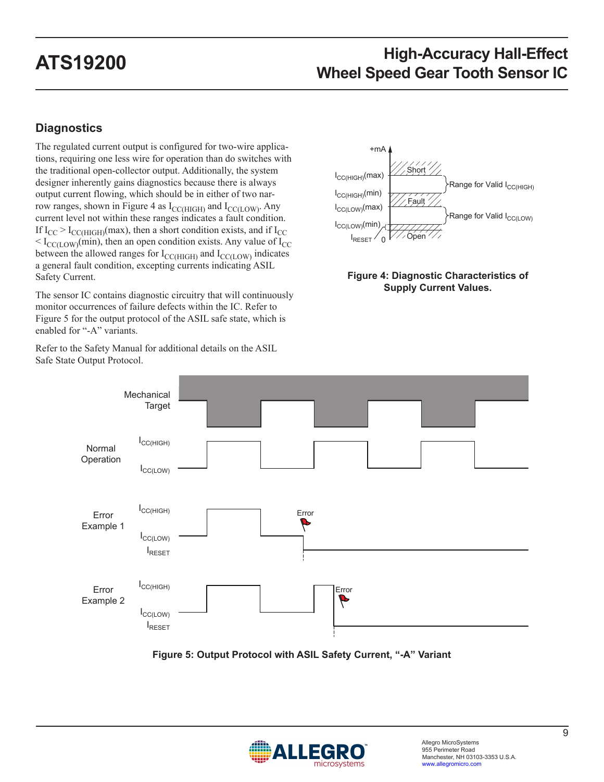## **Diagnostics**

Safe State Output Protocol.

The regulated current output is configured for two-wire applications, requiring one less wire for operation than do switches with the traditional open-collector output. Additionally, the system designer inherently gains diagnostics because there is always output current flowing, which should be in either of two nar-row ranges, shown in [Figure 4](#page-8-0) as  $I_{\text{CC(HIGH)}}$  and  $I_{\text{CC(LOW)}}$ . Any current level not within these ranges indicates a fault condition. If  $I_{CC}$  >  $I_{CC(HIGH)}$ (max), then a short condition exists, and if  $I_{CC}$  $< I_{\text{CC(LOW)}}$ (min), then an open condition exists. Any value of  $I_{\text{CC}}$ between the allowed ranges for  $I_{\text{CC(HIGH)}}$  and  $I_{\text{CC(LOW)}}$  indicates a general fault condition, excepting currents indicating ASIL Safety Current.

The sensor IC contains diagnostic circuitry that will continuously monitor occurrences of failure defects within the IC. Refer to [Figure 5](#page-8-1) for the output protocol of the ASIL safe state, which is enabled for "-A" variants.

Refer to the Safety Manual for additional details on the ASIL



### <span id="page-8-0"></span>**Figure 4: Diagnostic Characteristics of Supply Current Values.**





<span id="page-8-1"></span>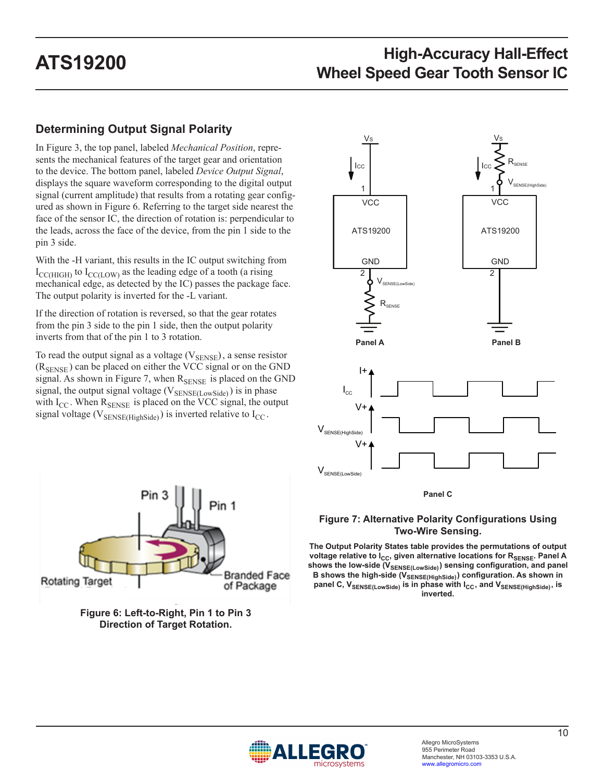## **Determining Output Signal Polarity**

In [Figure 3,](#page-7-1) the top panel, labeled *Mechanical Position*, represents the mechanical features of the target gear and orientation to the device. The bottom panel, labeled *Device Output Signal*, displays the square waveform corresponding to the digital output signal (current amplitude) that results from a rotating gear configured as shown in [Figure 6.](#page-9-0) Referring to the target side nearest the face of the sensor IC, the direction of rotation is: perpendicular to the leads, across the face of the device, from the pin 1 side to the pin 3 side.

With the -H variant, this results in the IC output switching from  $I_{\text{CCHIGH}}$  to  $I_{\text{CCHOW}}$  as the leading edge of a tooth (a rising mechanical edge, as detected by the IC) passes the package face. The output polarity is inverted for the -L variant.

If the direction of rotation is reversed, so that the gear rotates from the pin 3 side to the pin 1 side, then the output polarity inverts from that of the pin 1 to 3 rotation.

To read the output signal as a voltage  $(V_{\text{SENSE}})$ , a sense resistor  $(R_{\text{SENSE}})$  can be placed on either the VCC signal or on the GND signal. As shown in [Figure 7,](#page-9-1) when  $R_{\text{SENSE}}$  is placed on the GND signal, the output signal voltage ( $V_{\text{SENSE(Lowside)}}$ ) is in phase with  $I_{CC}$ . When  $R_{SENSE}$  is placed on the VCC signal, the output signal voltage ( $V_{\text{SENSE(HighSide)}}$ ) is inverted relative to  $I_{\text{CC}}$ .



<span id="page-9-0"></span>



#### <span id="page-9-1"></span>**Figure 7: Alternative Polarity Conf igurations Using Two-Wire Sensing.**

**The Output Polarity States table provides the permutations of output**  voltage relative to I<sub>CC</sub>, given alternative locations for R<sub>SENSE</sub>. Panel A shows the low-side (V<sub>SENSE(LowSide)</sub>) sensing configuration, and panel B shows the high-side (V<sub>SENSE(HighSide)</sub>) configuration. As shown in panel C, V<sub>SENSE(LowSide)</sub> is in phase with I<sub>CC</sub>, and V<sub>SENSE(HighSide)</sub>, is **inverted.**

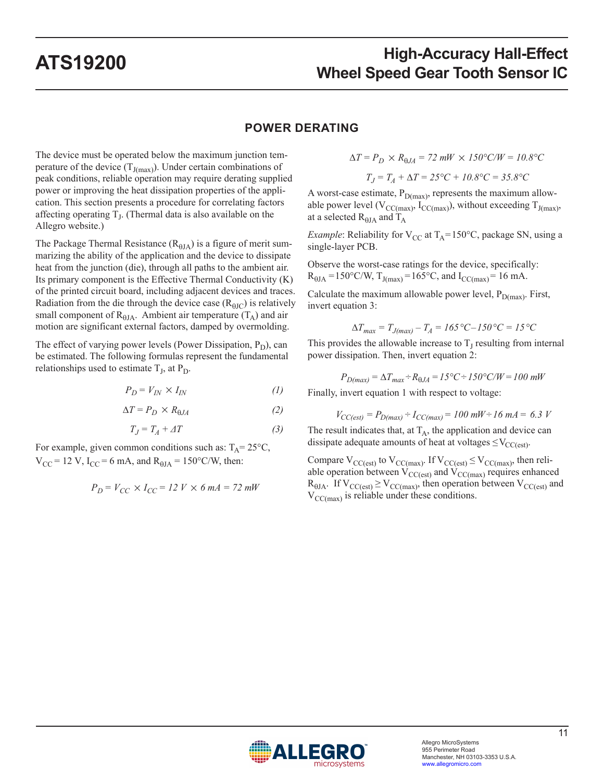### **POWER DERATING**

The device must be operated below the maximum junction temperature of the device  $(T_{J(max)})$ . Under certain combinations of peak conditions, reliable operation may require derating supplied power or improving the heat dissipation properties of the application. This section presents a procedure for correlating factors affecting operating  $T_J$ . (Thermal data is also available on the Allegro website.)

The Package Thermal Resistance ( $R_{\theta JA}$ ) is a figure of merit summarizing the ability of the application and the device to dissipate heat from the junction (die), through all paths to the ambient air. Its primary component is the Effective Thermal Conductivity (K) of the printed circuit board, including adjacent devices and traces. Radiation from the die through the device case  $(R_{\theta JC})$  is relatively small component of  $R_{\theta JA}$ . Ambient air temperature  $(T_A)$  and air motion are significant external factors, damped by overmolding.

The effect of varying power levels (Power Dissipation,  $P_D$ ), can be estimated. The following formulas represent the fundamental relationships used to estimate  $T_J$ , at  $P_D$ .

$$
P_D = V_{IN} \times I_{IN} \tag{1}
$$

$$
\Delta T = P_D \times R_{0JA} \tag{2}
$$

$$
T_J = T_A + \varDelta T \tag{3}
$$

For example, given common conditions such as:  $T_A = 25^{\circ}C$ ,  $V_{CC}$  = 12 V, I<sub>CC</sub> = 6 mA, and R<sub> $\theta$ JA</sub> = 150°C/W, then:

$$
P_D = V_{CC} \times I_{CC} = 12 \ V \times 6 \ mA = 72 \ mW
$$

$$
\Delta T = P_D \times R_{0JA} = 72 \, mW \times 150^{\circ} \text{C/W} = 10.8^{\circ} \text{C}
$$

$$
T_J = T_A + \Delta T = 25^{\circ}C + 10.8^{\circ}C = 35.8^{\circ}C
$$

A worst-case estimate,  $P_{D(max)}$ , represents the maximum allowable power level ( $V_{CC(max)}$ ,  $I_{CC(max)}$ ), without exceeding  $T_{J(max)}$ , at a selected  $R_{\theta JA}$  and  $T_A$ 

*Example*: Reliability for  $V_{CC}$  at  $T_A = 150^{\circ}C$ , package SN, using a single-layer PCB.

Observe the worst-case ratings for the device, specifically:  $R_{\theta JA} = 150^{\circ}$ C/W,  $T_{J(max)} = 165^{\circ}$ C, and  $I_{CC(max)} = 16$  mA.

Calculate the maximum allowable power level,  $P_{D(max)}$ . First, invert equation 3:

$$
\Delta T_{max} = T_{J(max)} - T_A = 165 \,^{\circ}\text{C} - 150 \,^{\circ}\text{C} = 15 \,^{\circ}\text{C}
$$

This provides the allowable increase to  $T<sub>I</sub>$  resulting from internal power dissipation. Then, invert equation 2:

$$
P_{D(max)} = \Delta T_{max} \div R_{0JA} = 15^{\circ}C \div 150^{\circ}C/W = 100 \text{ mW}
$$

Finally, invert equation 1 with respect to voltage:

$$
V_{CC(ext)} = P_{D(max)} - I_{CC(max)} = 100 \, \text{mW} \div 16 \, \text{mA} = 6.3 \, \text{V}
$$

The result indicates that, at  $T_A$ , the application and device can dissipate adequate amounts of heat at voltages  $\leq$ V<sub>CC(est)</sub>.

Compare  $V_{CC(est)}$  to  $V_{CC(max)}$ . If  $V_{CC(est)} \le V_{CC(max)}$ , then reliable operation between  $V_{\text{CC}(\text{est})}$  and  $V_{\text{CC}(\text{max})}$  requires enhanced  $R_{\theta JA}$ . If  $V_{CC(est)} \ge V_{CC(max)}$ , then operation between  $V_{CC(est)}$  and  $V_{CC(max)}$  is reliable under these conditions.

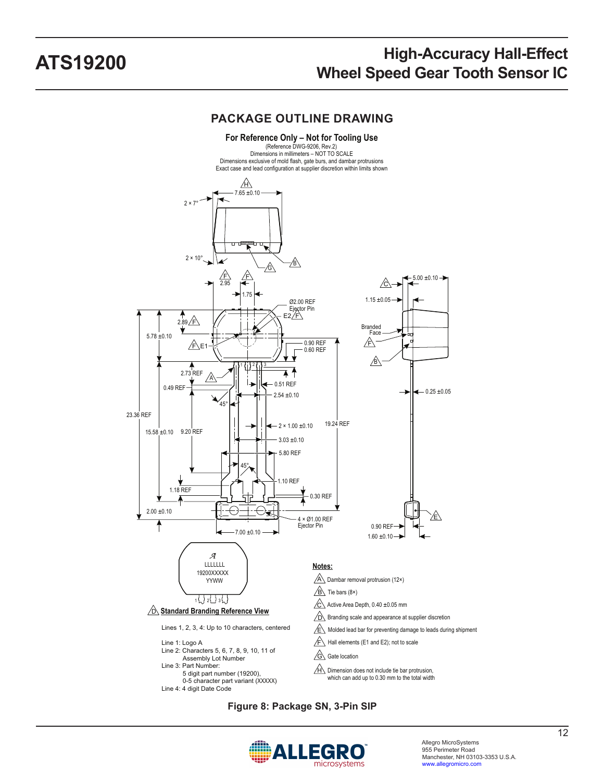### **PACKAGE OUTLINE DRAWING**